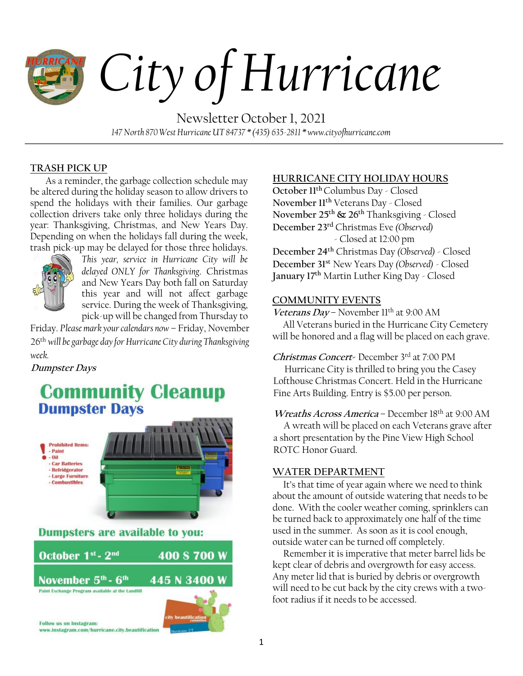# *City of Hurricane*

Newsletter October 1, 2021 *147 North 870 West Hurricane UT 84737 \* (435) 635-2811 \* www.cityofhurricane.com*

# **TRASH PICK UP**

As a reminder, the garbage collection schedule may be altered during the holiday season to allow drivers to spend the holidays with their families. Our garbage collection drivers take only three holidays during the year: Thanksgiving, Christmas, and New Years Day. Depending on when the holidays fall during the week, trash pick-up may be delayed for those three holidays.



*This year, service in Hurricane City will be delayed ONLY for Thanksgiving*. Christmas and New Years Day both fall on Saturday this year and will not affect garbage service. During the week of Thanksgiving, pick-up will be changed from Thursday to

Friday. *Please mark your calendars now* – Friday, November 26th *will be garbage day for Hurricane City during Thanksgiving week.*

# **Dumpster Days**

# **Community Cleanup Dumpster Days**





# **HURRICANE CITY HOLIDAY HOURS**

**October 11 th** Columbus Day - Closed **November 11th** Veterans Day - Closed **November 25 th & 26 th** Thanksgiving - Closed **December 23 rd** Christmas Eve *(Observed)* - Closed at 12:00 pm

**December 24 th** Christmas Day *(Observed)* - Closed **December 31 st** New Years Day *(Observed)* - Closed **January 17 th** Martin Luther King Day - Closed

# **COMMUNITY EVENTS**

Veterans Day – November 11<sup>th</sup> at 9:00 AM All Veterans buried in the Hurricane City Cemetery will be honored and a flag will be placed on each grave.

# **Christmas Concert-** December 3rd at 7:00 PM

Hurricane City is thrilled to bring you the Casey Lofthouse Christmas Concert. Held in the Hurricane Fine Arts Building. Entry is \$5.00 per person.

# **Wreaths Across America** – December 18th at 9:00 AM

 A wreath will be placed on each Veterans grave after a short presentation by the Pine View High School ROTC Honor Guard.

# **WATER DEPARTMENT**

 It's that time of year again where we need to think about the amount of outside watering that needs to be done. With the cooler weather coming, sprinklers can be turned back to approximately one half of the time used in the summer. As soon as it is cool enough, outside water can be turned off completely.

 Remember it is imperative that meter barrel lids be kept clear of debris and overgrowth for easy access. Any meter lid that is buried by debris or overgrowth will need to be cut back by the city crews with a twofoot radius if it needs to be accessed.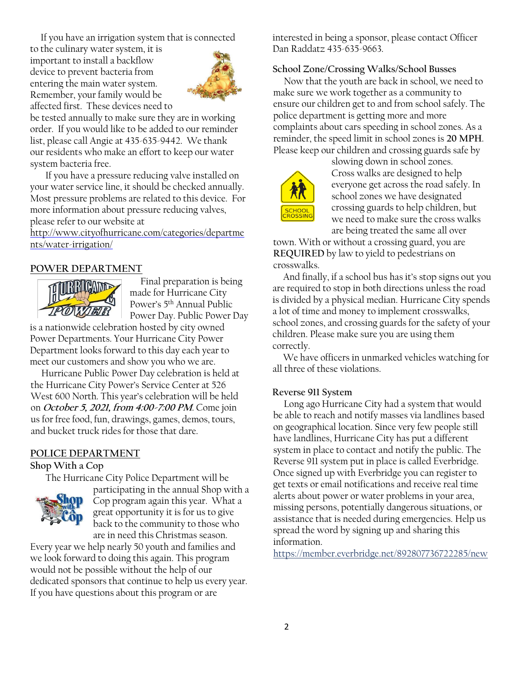If you have an irrigation system that is connected

to the culinary water system, it is important to install a backflow device to prevent bacteria from entering the main water system. Remember, your family would be affected first. These devices need to



be tested annually to make sure they are in working order. If you would like to be added to our reminder list, please call Angie at 435-635-9442. We thank our residents who make an effort to keep our water system bacteria free.

If you have a pressure reducing valve installed on your water service line, it should be checked annually. Most pressure problems are related to this device. For more information about pressure reducing valves, please refer to our website at

[http://www.cityofhurricane.com/categories/departme](http://www.cityofhurricane.com/categories/departments/water-irrigation/) [nts/water-irrigation/](http://www.cityofhurricane.com/categories/departments/water-irrigation/)

# **POWER DEPARTMENT**



 Final preparation is being made for Hurricane City Power's 5th Annual Public Power Day. Public Power Day

is a nationwide celebration hosted by city owned Power Departments. Your Hurricane City Power Department looks forward to this day each year to meet our customers and show you who we are.

 Hurricane Public Power Day celebration is held at the Hurricane City Power's Service Center at 526 West 600 North. This year's celebration will be held on **October 5, 2021, from 4:00-7:00 PM**. Come join us for free food, fun, drawings, games, demos, tours, and bucket truck rides for those that dare.

#### **POLICE DEPARTMENT**

**Shop With a Cop** 

The Hurricane City Police Department will be



participating in the annual Shop with a Cop program again this year. What a great opportunity it is for us to give back to the community to those who are in need this Christmas season.

Every year we help nearly 50 youth and families and we look forward to doing this again. This program would not be possible without the help of our dedicated sponsors that continue to help us every year. If you have questions about this program or are

interested in being a sponsor, please contact Officer Dan Raddatz 435-635-9663.

#### **School Zone/Crossing Walks/School Busses**

 Now that the youth are back in school, we need to make sure we work together as a community to ensure our children get to and from school safely. The police department is getting more and more complaints about cars speeding in school zones. As a reminder, the speed limit in school zones is **20 MPH**. Please keep our children and crossing guards safe by



slowing down in school zones. Cross walks are designed to help everyone get across the road safely. In school zones we have designated crossing guards to help children, but we need to make sure the cross walks are being treated the same all over

town. With or without a crossing guard, you are **REQUIRED** by law to yield to pedestrians on crosswalks.

 And finally, if a school bus has it's stop signs out you are required to stop in both directions unless the road is divided by a physical median. Hurricane City spends a lot of time and money to implement crosswalks, school zones, and crossing guards for the safety of your children. Please make sure you are using them correctly.

 We have officers in unmarked vehicles watching for all three of these violations.

#### **Reverse 911 System**

 Long ago Hurricane City had a system that would be able to reach and notify masses via landlines based on geographical location. Since very few people still have landlines, Hurricane City has put a different system in place to contact and notify the public. The Reverse 911 system put in place is called Everbridge. Once signed up with Everbridge you can register to get texts or email notifications and receive real time alerts about power or water problems in your area, missing persons, potentially dangerous situations, or assistance that is needed during emergencies. Help us spread the word by signing up and sharing this information.

https://member.everbridge.net/892807736722285/new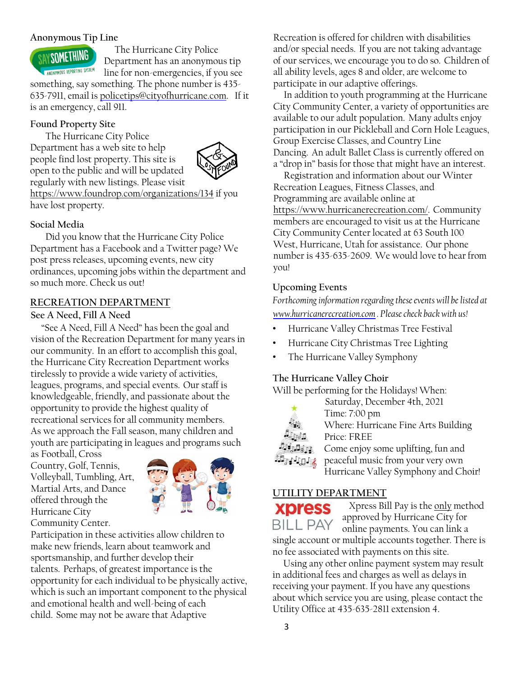# **Anonymous Tip Line**



 The Hurricane City Police Department has an anonymous tip

line for non-emergencies, if you see something, say something. The phone number is 435-

635-7911, email is policetips@cityofhurricane.com. If it is an emergency, call 911.

# **Found Property Site**

The Hurricane City Police Department has a web site to help people find lost property. This site is open to the public and will be updated regularly with new listings. Please visit



<https://www.foundrop.com/organizations/134> [i](https://www.foundrop.com/organizations/134)f you have lost property.

# **Social Media**

Did you know that the Hurricane City Police Department has a Facebook and a Twitter page? We post press releases, upcoming events, new city ordinances, upcoming jobs within the department and so much more. Check us out!

# **RECREATION DEPARTMENT**

## **See A Need, Fill A Need**

 "See A Need, Fill A Need" has been the goal and vision of the Recreation Department for many years in our community. In an effort to accomplish this goal, the Hurricane City Recreation Department works tirelessly to provide a wide variety of activities, leagues, programs, and special events. Our staff is knowledgeable, friendly, and passionate about the opportunity to provide the highest quality of recreational services for all community members. As we approach the Fall season, many children and youth are participating in leagues and programs such

as Football, Cross Country, Golf, Tennis, Volleyball, Tumbling, Art, Martial Arts, and Dance offered through the Hurricane City Community Center.



Participation in these activities allow children to make new friends, learn about teamwork and sportsmanship, and further develop their talents. Perhaps, of greatest importance is the opportunity for each individual to be physically active, which is such an important component to the physical and emotional health and well-being of each child. Some may not be aware that Adaptive

Recreation is offered for children with disabilities and/or special needs. If you are not taking advantage of our services, we encourage you to do so. Children of all ability levels, ages 8 and older, are welcome to participate in our adaptive offerings.

 In addition to youth programming at the Hurricane City Community Center, a variety of opportunities are available to our adult population. Many adults enjoy participation in our Pickleball and Corn Hole Leagues, Group Exercise Classes, and Country Line Dancing. An adult Ballet Class is currently offered on a "drop in" basis for those that might have an interest.

 Registration and information about our Winter Recreation Leagues, Fitness Classes, and Programming are available online at https://www.hurricanerecreation.com/. Community members are encouraged to visit us at the Hurricane City Community Center located at 63 South 100 West, Hurricane, Utah for assistance. Our phone number is 435-635-2609. We would love to hear from you!

# **Upcoming Events**

*Forthcoming information regarding these events will be listed at [www.hurricanerecreation.com](http://www.hurricanerecreation.com/) [.](http://www.hurricanerecreation.com/) Please check back with us!* 

- Hurricane Valley Christmas Tree Festival
- Hurricane City Christmas Tree Lighting
- The Hurricane Valley Symphony

# **The Hurricane Valley Choir**

Will be performing for the Holidays! When:



Time: 7:00 pm Where: Hurricane Fine Arts Building Price: FREE

Saturday, December 4th, 2021

 $35.55.50.66$ 

Come enjoy some uplifting, fun and peaceful music from your very own Hurricane Valley Symphony and Choir!

# **UTILITY DEPARTMENT**



Xpress Bill Pay is the only method approved by Hurricane City for online payments. You can link a single account or multiple accounts together. There is no fee associated with payments on this site.

 Using any other online payment system may result in additional fees and charges as well as delays in receiving your payment. If you have any questions about which service you are using, please contact the Utility Office at 435-635-2811 extension 4.